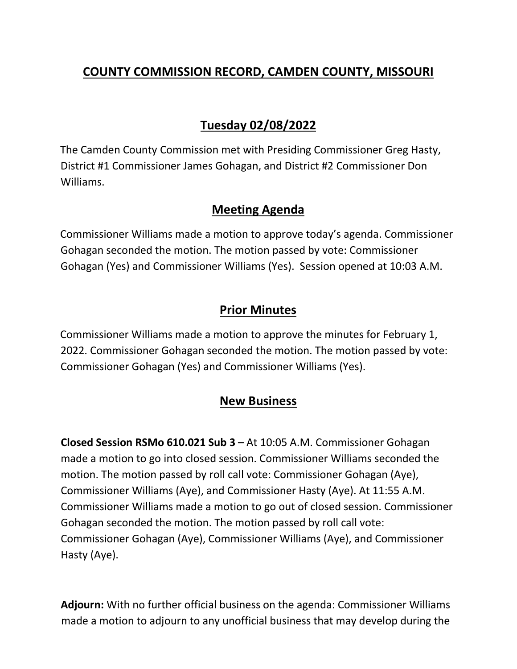# **COUNTY COMMISSION RECORD, CAMDEN COUNTY, MISSOURI**

# **Tuesday 02/08/2022**

The Camden County Commission met with Presiding Commissioner Greg Hasty, District #1 Commissioner James Gohagan, and District #2 Commissioner Don Williams.

#### **Meeting Agenda**

Commissioner Williams made a motion to approve today's agenda. Commissioner Gohagan seconded the motion. The motion passed by vote: Commissioner Gohagan (Yes) and Commissioner Williams (Yes). Session opened at 10:03 A.M.

### **Prior Minutes**

Commissioner Williams made a motion to approve the minutes for February 1, 2022. Commissioner Gohagan seconded the motion. The motion passed by vote: Commissioner Gohagan (Yes) and Commissioner Williams (Yes).

### **New Business**

**Closed Session RSMo 610.021 Sub 3 –** At 10:05 A.M. Commissioner Gohagan made a motion to go into closed session. Commissioner Williams seconded the motion. The motion passed by roll call vote: Commissioner Gohagan (Aye), Commissioner Williams (Aye), and Commissioner Hasty (Aye). At 11:55 A.M. Commissioner Williams made a motion to go out of closed session. Commissioner Gohagan seconded the motion. The motion passed by roll call vote: Commissioner Gohagan (Aye), Commissioner Williams (Aye), and Commissioner Hasty (Aye).

**Adjourn:** With no further official business on the agenda: Commissioner Williams made a motion to adjourn to any unofficial business that may develop during the